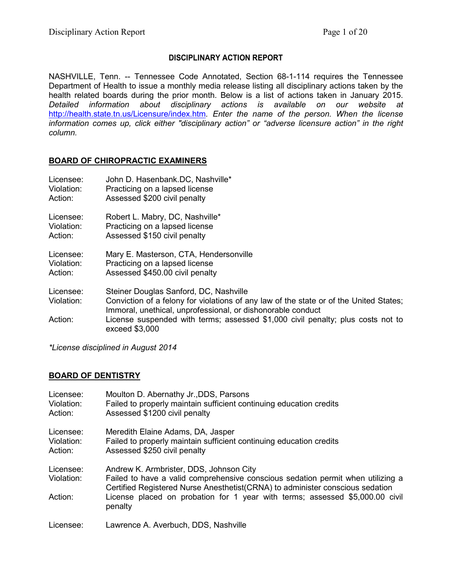## **DISCIPLINARY ACTION REPORT**

NASHVILLE, Tenn. -- Tennessee Code Annotated, Section 68-1-114 requires the Tennessee Department of Health to issue a monthly media release listing all disciplinary actions taken by the health related boards during the prior month. Below is a list of actions taken in January 2015. *Detailed information about disciplinary actions is available on our website at*  <http://health.state.tn.us/Licensure/index.htm>*. Enter the name of the person. When the license information comes up, click either "disciplinary action" or "adverse licensure action" in the right column.*

# **BOARD OF CHIROPRACTIC EXAMINERS**

| Licensee:               | John D. Hasenbank.DC, Nashville*                                                                                                                                                                |
|-------------------------|-------------------------------------------------------------------------------------------------------------------------------------------------------------------------------------------------|
| Violation:              | Practicing on a lapsed license                                                                                                                                                                  |
| Action:                 | Assessed \$200 civil penalty                                                                                                                                                                    |
| Licensee:               | Robert L. Mabry, DC, Nashville*                                                                                                                                                                 |
| Violation:              | Practicing on a lapsed license                                                                                                                                                                  |
| Action:                 | Assessed \$150 civil penalty                                                                                                                                                                    |
| Licensee:               | Mary E. Masterson, CTA, Hendersonville                                                                                                                                                          |
| Violation:              | Practicing on a lapsed license                                                                                                                                                                  |
| Action:                 | Assessed \$450.00 civil penalty                                                                                                                                                                 |
| Licensee:<br>Violation: | Steiner Douglas Sanford, DC, Nashville<br>Conviction of a felony for violations of any law of the state or of the United States;<br>Immoral, unethical, unprofessional, or dishonorable conduct |
| Action:                 | License suspended with terms; assessed \$1,000 civil penalty; plus costs not to<br>exceed \$3,000                                                                                               |

*\*License disciplined in August 2014*

# **BOARD OF DENTISTRY**

| Licensee:                          | Moulton D. Abernathy Jr., DDS, Parsons                                                                                                                                                                                                                                                                  |
|------------------------------------|---------------------------------------------------------------------------------------------------------------------------------------------------------------------------------------------------------------------------------------------------------------------------------------------------------|
| Violation:                         | Failed to properly maintain sufficient continuing education credits                                                                                                                                                                                                                                     |
| Action:                            | Assessed \$1200 civil penalty                                                                                                                                                                                                                                                                           |
| Licensee:                          | Meredith Elaine Adams, DA, Jasper                                                                                                                                                                                                                                                                       |
| Violation:                         | Failed to properly maintain sufficient continuing education credits                                                                                                                                                                                                                                     |
| Action:                            | Assessed \$250 civil penalty                                                                                                                                                                                                                                                                            |
| Licensee:<br>Violation:<br>Action: | Andrew K. Armbrister, DDS, Johnson City<br>Failed to have a valid comprehensive conscious sedation permit when utilizing a<br>Certified Registered Nurse Anesthetist (CRNA) to administer conscious sedation<br>License placed on probation for 1 year with terms; assessed \$5,000.00 civil<br>penalty |
| Licensee:                          | Lawrence A. Averbuch, DDS, Nashville                                                                                                                                                                                                                                                                    |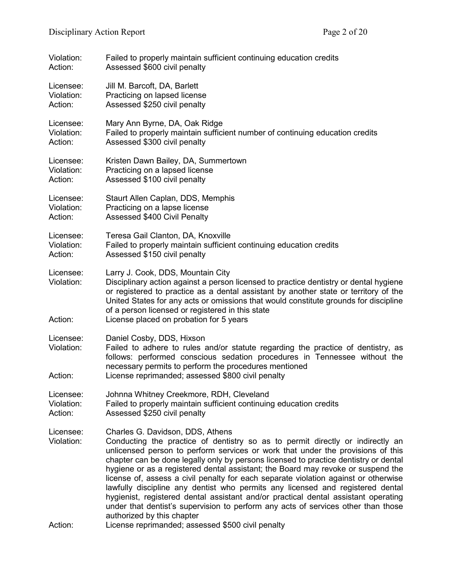| Violation:                         | Failed to properly maintain sufficient continuing education credits                                                                                                                                                                                                                                                                                                                                                                                                                                                                                                                                                                                                                                                                                                                                                      |
|------------------------------------|--------------------------------------------------------------------------------------------------------------------------------------------------------------------------------------------------------------------------------------------------------------------------------------------------------------------------------------------------------------------------------------------------------------------------------------------------------------------------------------------------------------------------------------------------------------------------------------------------------------------------------------------------------------------------------------------------------------------------------------------------------------------------------------------------------------------------|
| Action:                            | Assessed \$600 civil penalty                                                                                                                                                                                                                                                                                                                                                                                                                                                                                                                                                                                                                                                                                                                                                                                             |
| Licensee:                          | Jill M. Barcoft, DA, Barlett                                                                                                                                                                                                                                                                                                                                                                                                                                                                                                                                                                                                                                                                                                                                                                                             |
| Violation:                         | Practicing on lapsed license                                                                                                                                                                                                                                                                                                                                                                                                                                                                                                                                                                                                                                                                                                                                                                                             |
| Action:                            | Assessed \$250 civil penalty                                                                                                                                                                                                                                                                                                                                                                                                                                                                                                                                                                                                                                                                                                                                                                                             |
| Licensee:                          | Mary Ann Byrne, DA, Oak Ridge                                                                                                                                                                                                                                                                                                                                                                                                                                                                                                                                                                                                                                                                                                                                                                                            |
| Violation:                         | Failed to properly maintain sufficient number of continuing education credits                                                                                                                                                                                                                                                                                                                                                                                                                                                                                                                                                                                                                                                                                                                                            |
| Action:                            | Assessed \$300 civil penalty                                                                                                                                                                                                                                                                                                                                                                                                                                                                                                                                                                                                                                                                                                                                                                                             |
| Licensee:                          | Kristen Dawn Bailey, DA, Summertown                                                                                                                                                                                                                                                                                                                                                                                                                                                                                                                                                                                                                                                                                                                                                                                      |
| Violation:                         | Practicing on a lapsed license                                                                                                                                                                                                                                                                                                                                                                                                                                                                                                                                                                                                                                                                                                                                                                                           |
| Action:                            | Assessed \$100 civil penalty                                                                                                                                                                                                                                                                                                                                                                                                                                                                                                                                                                                                                                                                                                                                                                                             |
| Licensee:                          | Staurt Allen Caplan, DDS, Memphis                                                                                                                                                                                                                                                                                                                                                                                                                                                                                                                                                                                                                                                                                                                                                                                        |
| Violation:                         | Practicing on a lapse license                                                                                                                                                                                                                                                                                                                                                                                                                                                                                                                                                                                                                                                                                                                                                                                            |
| Action:                            | <b>Assessed \$400 Civil Penalty</b>                                                                                                                                                                                                                                                                                                                                                                                                                                                                                                                                                                                                                                                                                                                                                                                      |
| Licensee:                          | Teresa Gail Clanton, DA, Knoxville                                                                                                                                                                                                                                                                                                                                                                                                                                                                                                                                                                                                                                                                                                                                                                                       |
| Violation:                         | Failed to properly maintain sufficient continuing education credits                                                                                                                                                                                                                                                                                                                                                                                                                                                                                                                                                                                                                                                                                                                                                      |
| Action:                            | Assessed \$150 civil penalty                                                                                                                                                                                                                                                                                                                                                                                                                                                                                                                                                                                                                                                                                                                                                                                             |
| Licensee:<br>Violation:<br>Action: | Larry J. Cook, DDS, Mountain City<br>Disciplinary action against a person licensed to practice dentistry or dental hygiene<br>or registered to practice as a dental assistant by another state or territory of the<br>United States for any acts or omissions that would constitute grounds for discipline<br>of a person licensed or registered in this state<br>License placed on probation for 5 years                                                                                                                                                                                                                                                                                                                                                                                                                |
| Licensee:<br>Violation:<br>Action: | Daniel Cosby, DDS, Hixson<br>Failed to adhere to rules and/or statute regarding the practice of dentistry, as<br>follows: performed conscious sedation procedures in Tennessee without the<br>necessary permits to perform the procedures mentioned<br>License reprimanded; assessed \$800 civil penalty                                                                                                                                                                                                                                                                                                                                                                                                                                                                                                                 |
| Licensee:                          | Johnna Whitney Creekmore, RDH, Cleveland                                                                                                                                                                                                                                                                                                                                                                                                                                                                                                                                                                                                                                                                                                                                                                                 |
| Violation:                         | Failed to properly maintain sufficient continuing education credits                                                                                                                                                                                                                                                                                                                                                                                                                                                                                                                                                                                                                                                                                                                                                      |
| Action:                            | Assessed \$250 civil penalty                                                                                                                                                                                                                                                                                                                                                                                                                                                                                                                                                                                                                                                                                                                                                                                             |
| Licensee:<br>Violation:<br>Action: | Charles G. Davidson, DDS, Athens<br>Conducting the practice of dentistry so as to permit directly or indirectly an<br>unlicensed person to perform services or work that under the provisions of this<br>chapter can be done legally only by persons licensed to practice dentistry or dental<br>hygiene or as a registered dental assistant; the Board may revoke or suspend the<br>license of, assess a civil penalty for each separate violation against or otherwise<br>lawfully discipline any dentist who permits any licensed and registered dental<br>hygienist, registered dental assistant and/or practical dental assistant operating<br>under that dentist's supervision to perform any acts of services other than those<br>authorized by this chapter<br>License reprimanded; assessed \$500 civil penalty |
|                                    |                                                                                                                                                                                                                                                                                                                                                                                                                                                                                                                                                                                                                                                                                                                                                                                                                          |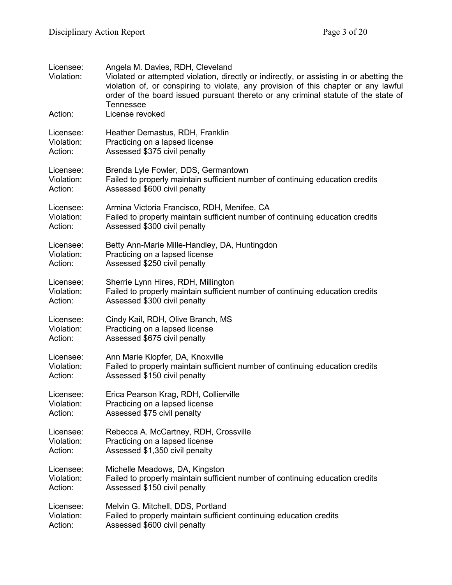| Licensee:<br>Violation:<br>Action: | Angela M. Davies, RDH, Cleveland<br>Violated or attempted violation, directly or indirectly, or assisting in or abetting the<br>violation of, or conspiring to violate, any provision of this chapter or any lawful<br>order of the board issued pursuant thereto or any criminal statute of the state of<br><b>Tennessee</b><br>License revoked |
|------------------------------------|--------------------------------------------------------------------------------------------------------------------------------------------------------------------------------------------------------------------------------------------------------------------------------------------------------------------------------------------------|
| Licensee:                          | Heather Demastus, RDH, Franklin                                                                                                                                                                                                                                                                                                                  |
| Violation:                         | Practicing on a lapsed license                                                                                                                                                                                                                                                                                                                   |
| Action:                            | Assessed \$375 civil penalty                                                                                                                                                                                                                                                                                                                     |
| Licensee:                          | Brenda Lyle Fowler, DDS, Germantown                                                                                                                                                                                                                                                                                                              |
| Violation:                         | Failed to properly maintain sufficient number of continuing education credits                                                                                                                                                                                                                                                                    |
| Action:                            | Assessed \$600 civil penalty                                                                                                                                                                                                                                                                                                                     |
| Licensee:                          | Armina Victoria Francisco, RDH, Menifee, CA                                                                                                                                                                                                                                                                                                      |
| Violation:                         | Failed to properly maintain sufficient number of continuing education credits                                                                                                                                                                                                                                                                    |
| Action:                            | Assessed \$300 civil penalty                                                                                                                                                                                                                                                                                                                     |
| Licensee:                          | Betty Ann-Marie Mille-Handley, DA, Huntingdon                                                                                                                                                                                                                                                                                                    |
| Violation:                         | Practicing on a lapsed license                                                                                                                                                                                                                                                                                                                   |
| Action:                            | Assessed \$250 civil penalty                                                                                                                                                                                                                                                                                                                     |
| Licensee:                          | Sherrie Lynn Hires, RDH, Millington                                                                                                                                                                                                                                                                                                              |
| Violation:                         | Failed to properly maintain sufficient number of continuing education credits                                                                                                                                                                                                                                                                    |
| Action:                            | Assessed \$300 civil penalty                                                                                                                                                                                                                                                                                                                     |
| Licensee:                          | Cindy Kail, RDH, Olive Branch, MS                                                                                                                                                                                                                                                                                                                |
| Violation:                         | Practicing on a lapsed license                                                                                                                                                                                                                                                                                                                   |
| Action:                            | Assessed \$675 civil penalty                                                                                                                                                                                                                                                                                                                     |
| Licensee:                          | Ann Marie Klopfer, DA, Knoxville                                                                                                                                                                                                                                                                                                                 |
| Violation:                         | Failed to properly maintain sufficient number of continuing education credits                                                                                                                                                                                                                                                                    |
| Action:                            | Assessed \$150 civil penalty                                                                                                                                                                                                                                                                                                                     |
| Licensee:                          | Erica Pearson Krag, RDH, Collierville                                                                                                                                                                                                                                                                                                            |
| Violation:                         | Practicing on a lapsed license                                                                                                                                                                                                                                                                                                                   |
| Action:                            | Assessed \$75 civil penalty                                                                                                                                                                                                                                                                                                                      |
| Licensee:                          | Rebecca A. McCartney, RDH, Crossville                                                                                                                                                                                                                                                                                                            |
| Violation:                         | Practicing on a lapsed license                                                                                                                                                                                                                                                                                                                   |
| Action:                            | Assessed \$1,350 civil penalty                                                                                                                                                                                                                                                                                                                   |
| Licensee:                          | Michelle Meadows, DA, Kingston                                                                                                                                                                                                                                                                                                                   |
| Violation:                         | Failed to properly maintain sufficient number of continuing education credits                                                                                                                                                                                                                                                                    |
| Action:                            | Assessed \$150 civil penalty                                                                                                                                                                                                                                                                                                                     |
| Licensee:                          | Melvin G. Mitchell, DDS, Portland                                                                                                                                                                                                                                                                                                                |
| Violation:                         | Failed to properly maintain sufficient continuing education credits                                                                                                                                                                                                                                                                              |
| Action:                            | Assessed \$600 civil penalty                                                                                                                                                                                                                                                                                                                     |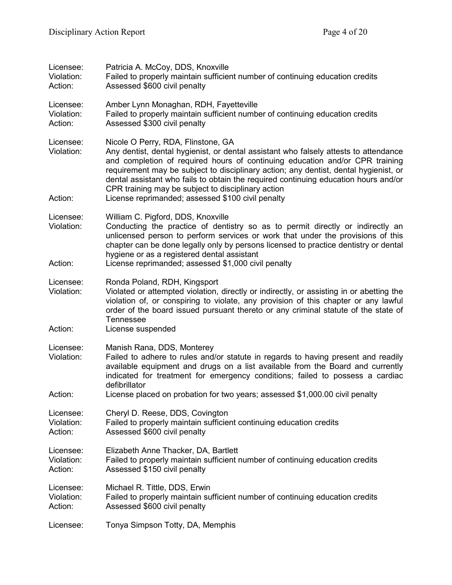| Licensee:<br>Violation:<br>Action: | Patricia A. McCoy, DDS, Knoxville<br>Failed to properly maintain sufficient number of continuing education credits<br>Assessed \$600 civil penalty                                                                                                                                                                                                                                                                                                                                                   |
|------------------------------------|------------------------------------------------------------------------------------------------------------------------------------------------------------------------------------------------------------------------------------------------------------------------------------------------------------------------------------------------------------------------------------------------------------------------------------------------------------------------------------------------------|
| Licensee:<br>Violation:<br>Action: | Amber Lynn Monaghan, RDH, Fayetteville<br>Failed to properly maintain sufficient number of continuing education credits<br>Assessed \$300 civil penalty                                                                                                                                                                                                                                                                                                                                              |
| Licensee:<br>Violation:<br>Action: | Nicole O Perry, RDA, Flinstone, GA<br>Any dentist, dental hygienist, or dental assistant who falsely attests to attendance<br>and completion of required hours of continuing education and/or CPR training<br>requirement may be subject to disciplinary action; any dentist, dental hygienist, or<br>dental assistant who fails to obtain the required continuing education hours and/or<br>CPR training may be subject to disciplinary action<br>License reprimanded; assessed \$100 civil penalty |
| Licensee:<br>Violation:<br>Action: | William C. Pigford, DDS, Knoxville<br>Conducting the practice of dentistry so as to permit directly or indirectly an<br>unlicensed person to perform services or work that under the provisions of this<br>chapter can be done legally only by persons licensed to practice dentistry or dental<br>hygiene or as a registered dental assistant<br>License reprimanded; assessed \$1,000 civil penalty                                                                                                |
| Licensee:<br>Violation:<br>Action: | Ronda Poland, RDH, Kingsport<br>Violated or attempted violation, directly or indirectly, or assisting in or abetting the<br>violation of, or conspiring to violate, any provision of this chapter or any lawful<br>order of the board issued pursuant thereto or any criminal statute of the state of<br><b>Tennessee</b><br>License suspended                                                                                                                                                       |
| Licensee:<br>Violation:<br>Action: | Manish Rana, DDS, Monterey<br>Failed to adhere to rules and/or statute in regards to having present and readily<br>available equipment and drugs on a list available from the Board and currently<br>indicated for treatment for emergency conditions; failed to possess a cardiac<br>defibrillator                                                                                                                                                                                                  |
| Licensee:<br>Violation:<br>Action: | License placed on probation for two years; assessed \$1,000.00 civil penalty<br>Cheryl D. Reese, DDS, Covington<br>Failed to properly maintain sufficient continuing education credits<br>Assessed \$600 civil penalty                                                                                                                                                                                                                                                                               |
| Licensee:<br>Violation:<br>Action: | Elizabeth Anne Thacker, DA, Bartlett<br>Failed to properly maintain sufficient number of continuing education credits<br>Assessed \$150 civil penalty                                                                                                                                                                                                                                                                                                                                                |
| Licensee:<br>Violation:<br>Action: | Michael R. Tittle, DDS, Erwin<br>Failed to properly maintain sufficient number of continuing education credits<br>Assessed \$600 civil penalty                                                                                                                                                                                                                                                                                                                                                       |
| Licensee:                          | Tonya Simpson Totty, DA, Memphis                                                                                                                                                                                                                                                                                                                                                                                                                                                                     |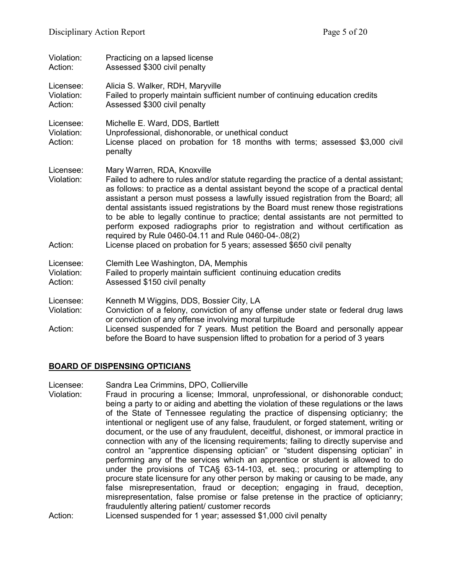| Violation:<br>Action:              | Practicing on a lapsed license<br>Assessed \$300 civil penalty                                                                                                                                                                                                                                                                                                                                                                                                                                                                                                                                                                                                                                    |
|------------------------------------|---------------------------------------------------------------------------------------------------------------------------------------------------------------------------------------------------------------------------------------------------------------------------------------------------------------------------------------------------------------------------------------------------------------------------------------------------------------------------------------------------------------------------------------------------------------------------------------------------------------------------------------------------------------------------------------------------|
| Licensee:<br>Violation:<br>Action: | Alicia S. Walker, RDH, Maryville<br>Failed to properly maintain sufficient number of continuing education credits<br>Assessed \$300 civil penalty                                                                                                                                                                                                                                                                                                                                                                                                                                                                                                                                                 |
| Licensee:<br>Violation:<br>Action: | Michelle E. Ward, DDS, Bartlett<br>Unprofessional, dishonorable, or unethical conduct<br>License placed on probation for 18 months with terms; assessed \$3,000 civil<br>penalty                                                                                                                                                                                                                                                                                                                                                                                                                                                                                                                  |
| Licensee:<br>Violation:<br>Action: | Mary Warren, RDA, Knoxville<br>Failed to adhere to rules and/or statute regarding the practice of a dental assistant;<br>as follows: to practice as a dental assistant beyond the scope of a practical dental<br>assistant a person must possess a lawfully issued registration from the Board; all<br>dental assistants issued registrations by the Board must renew those registrations<br>to be able to legally continue to practice; dental assistants are not permitted to<br>perform exposed radiographs prior to registration and without certification as<br>required by Rule 0460-04.11 and Rule 0460-04-.08(2)<br>License placed on probation for 5 years; assessed \$650 civil penalty |
| Licensee:<br>Violation:<br>Action: | Clemith Lee Washington, DA, Memphis<br>Failed to properly maintain sufficient continuing education credits<br>Assessed \$150 civil penalty                                                                                                                                                                                                                                                                                                                                                                                                                                                                                                                                                        |
| Licensee:<br>Violation:            | Kenneth M Wiggins, DDS, Bossier City, LA<br>Conviction of a felony, conviction of any offense under state or federal drug laws<br>or conviction of any offense involving moral turpitude                                                                                                                                                                                                                                                                                                                                                                                                                                                                                                          |
| Action:                            | Licensed suspended for 7 years. Must petition the Board and personally appear<br>before the Board to have suspension lifted to probation for a period of 3 years                                                                                                                                                                                                                                                                                                                                                                                                                                                                                                                                  |

## **BOARD OF DISPENSING OPTICIANS**

Licensee: Sandra Lea Crimmins, DPO, Collierville

- Violation: Fraud in procuring a license; Immoral, unprofessional, or dishonorable conduct; being a party to or aiding and abetting the violation of these regulations or the laws of the State of Tennessee regulating the practice of dispensing opticianry; the intentional or negligent use of any false, fraudulent, or forged statement, writing or document, or the use of any fraudulent, deceitful, dishonest, or immoral practice in connection with any of the licensing requirements; failing to directly supervise and control an "apprentice dispensing optician" or "student dispensing optician" in performing any of the services which an apprentice or student is allowed to do under the provisions of TCA§ 63-14-103, et. seq.; procuring or attempting to procure state licensure for any other person by making or causing to be made, any false misrepresentation, fraud or deception; engaging in fraud, deception, misrepresentation, false promise or false pretense in the practice of opticianry; fraudulently altering patient/ customer records
- Action: Licensed suspended for 1 year; assessed \$1,000 civil penalty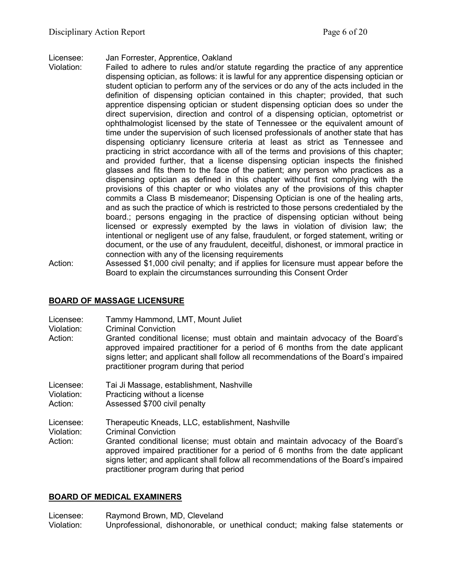Licensee: Jan Forrester, Apprentice, Oakland

- Violation: Failed to adhere to rules and/or statute regarding the practice of any apprentice dispensing optician, as follows: it is lawful for any apprentice dispensing optician or student optician to perform any of the services or do any of the acts included in the definition of dispensing optician contained in this chapter; provided, that such apprentice dispensing optician or student dispensing optician does so under the direct supervision, direction and control of a dispensing optician, optometrist or ophthalmologist licensed by the state of Tennessee or the equivalent amount of time under the supervision of such licensed professionals of another state that has dispensing opticianry licensure criteria at least as strict as Tennessee and practicing in strict accordance with all of the terms and provisions of this chapter; and provided further, that a license dispensing optician inspects the finished glasses and fits them to the face of the patient; any person who practices as a dispensing optician as defined in this chapter without first complying with the provisions of this chapter or who violates any of the provisions of this chapter commits a Class B misdemeanor; Dispensing Optician is one of the healing arts, and as such the practice of which is restricted to those persons credentialed by the board.; persons engaging in the practice of dispensing optician without being licensed or expressly exempted by the laws in violation of division law; the intentional or negligent use of any false, fraudulent, or forged statement, writing or document, or the use of any fraudulent, deceitful, dishonest, or immoral practice in connection with any of the licensing requirements
- Action: Assessed \$1,000 civil penalty; and if applies for licensure must appear before the Board to explain the circumstances surrounding this Consent Order

# **BOARD OF MASSAGE LICENSURE**

Licensee: Tammy Hammond, LMT, Mount Juliet

- Violation: Criminal Conviction
- Action: Granted conditional license; must obtain and maintain advocacy of the Board's approved impaired practitioner for a period of 6 months from the date applicant signs letter; and applicant shall follow all recommendations of the Board's impaired practitioner program during that period

Licensee: Tai Ji Massage, establishment, Nashville

Violation: Practicing without a license

Action: Assessed \$700 civil penalty

Licensee: Therapeutic Kneads, LLC, establishment, Nashville

**Criminal Conviction** 

Action: Granted conditional license; must obtain and maintain advocacy of the Board's approved impaired practitioner for a period of 6 months from the date applicant signs letter; and applicant shall follow all recommendations of the Board's impaired practitioner program during that period

# **BOARD OF MEDICAL EXAMINERS**

Licensee: Raymond Brown, MD, Cleveland<br>Violation: Unprofessional, dishonorable. or Unprofessional, dishonorable, or unethical conduct; making false statements or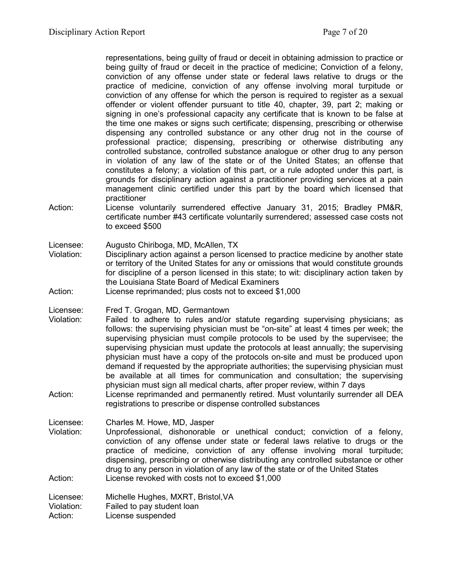representations, being guilty of fraud or deceit in obtaining admission to practice or being guilty of fraud or deceit in the practice of medicine; Conviction of a felony, conviction of any offense under state or federal laws relative to drugs or the practice of medicine, conviction of any offense involving moral turpitude or conviction of any offense for which the person is required to register as a sexual offender or violent offender pursuant to title 40, chapter, 39, part 2; making or signing in one's professional capacity any certificate that is known to be false at the time one makes or signs such certificate; dispensing, prescribing or otherwise dispensing any controlled substance or any other drug not in the course of professional practice; dispensing, prescribing or otherwise distributing any controlled substance, controlled substance analogue or other drug to any person in violation of any law of the state or of the United States; an offense that constitutes a felony; a violation of this part, or a rule adopted under this part, is grounds for disciplinary action against a practitioner providing services at a pain management clinic certified under this part by the board which licensed that practitioner

Action: License voluntarily surrendered effective January 31, 2015; Bradley PM&R, certificate number #43 certificate voluntarily surrendered; assessed case costs not to exceed \$500

Licensee: Augusto Chiriboga, MD, McAllen, TX

- Violation: Disciplinary action against a person licensed to practice medicine by another state or territory of the United States for any or omissions that would constitute grounds for discipline of a person licensed in this state; to wit: disciplinary action taken by the Louisiana State Board of Medical Examiners
- Action: License reprimanded; plus costs not to exceed \$1,000

Licensee: Fred T. Grogan, MD, Germantown

- Violation: Failed to adhere to rules and/or statute regarding supervising physicians; as follows: the supervising physician must be "on-site" at least 4 times per week; the supervising physician must compile protocols to be used by the supervisee; the supervising physician must update the protocols at least annually; the supervising physician must have a copy of the protocols on-site and must be produced upon demand if requested by the appropriate authorities; the supervising physician must be available at all times for communication and consultation; the supervising physician must sign all medical charts, after proper review, within 7 days
- Action: License reprimanded and permanently retired. Must voluntarily surrender all DEA registrations to prescribe or dispense controlled substances

Licensee: Charles M. Howe, MD, Jasper<br>Violation: Unprofessional. dishonorable

Unprofessional, dishonorable or unethical conduct; conviction of a felony, conviction of any offense under state or federal laws relative to drugs or the practice of medicine, conviction of any offense involving moral turpitude; dispensing, prescribing or otherwise distributing any controlled substance or other drug to any person in violation of any law of the state or of the United States Action: License revoked with costs not to exceed \$1,000

Licensee: Michelle Hughes, MXRT, Bristol,VA

Violation: Failed to pay student loan

Action: License suspended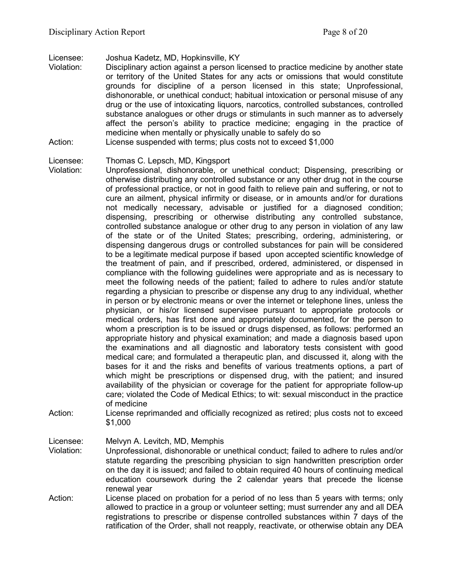Licensee: Joshua Kadetz, MD, Hopkinsville, KY

- Violation: Disciplinary action against a person licensed to practice medicine by another state or territory of the United States for any acts or omissions that would constitute grounds for discipline of a person licensed in this state; Unprofessional, dishonorable, or unethical conduct; habitual intoxication or personal misuse of any drug or the use of intoxicating liquors, narcotics, controlled substances, controlled substance analogues or other drugs or stimulants in such manner as to adversely affect the person's ability to practice medicine; engaging in the practice of medicine when mentally or physically unable to safely do so
- Action: License suspended with terms; plus costs not to exceed \$1,000

Licensee: Thomas C. Lepsch, MD, Kingsport

- Violation: Unprofessional, dishonorable, or unethical conduct; Dispensing, prescribing or otherwise distributing any controlled substance or any other drug not in the course of professional practice, or not in good faith to relieve pain and suffering, or not to cure an ailment, physical infirmity or disease, or in amounts and/or for durations not medically necessary, advisable or justified for a diagnosed condition; dispensing, prescribing or otherwise distributing any controlled substance, controlled substance analogue or other drug to any person in violation of any law of the state or of the United States; prescribing, ordering, administering, or dispensing dangerous drugs or controlled substances for pain will be considered to be a legitimate medical purpose if based upon accepted scientific knowledge of the treatment of pain, and if prescribed, ordered, administered, or dispensed in compliance with the following guidelines were appropriate and as is necessary to meet the following needs of the patient; failed to adhere to rules and/or statute regarding a physician to prescribe or dispense any drug to any individual, whether in person or by electronic means or over the internet or telephone lines, unless the physician, or his/or licensed supervisee pursuant to appropriate protocols or medical orders, has first done and appropriately documented, for the person to whom a prescription is to be issued or drugs dispensed, as follows: performed an appropriate history and physical examination; and made a diagnosis based upon the examinations and all diagnostic and laboratory tests consistent with good medical care; and formulated a therapeutic plan, and discussed it, along with the bases for it and the risks and benefits of various treatments options, a part of which might be prescriptions or dispensed drug, with the patient; and insured availability of the physician or coverage for the patient for appropriate follow-up care; violated the Code of Medical Ethics; to wit: sexual misconduct in the practice of medicine
- Action: License reprimanded and officially recognized as retired; plus costs not to exceed \$1,000

Licensee: Melvyn A. Levitch, MD, Memphis

- Violation: Unprofessional, dishonorable or unethical conduct; failed to adhere to rules and/or statute regarding the prescribing physician to sign handwritten prescription order on the day it is issued; and failed to obtain required 40 hours of continuing medical education coursework during the 2 calendar years that precede the license renewal year
- Action: License placed on probation for a period of no less than 5 years with terms; only allowed to practice in a group or volunteer setting; must surrender any and all DEA registrations to prescribe or dispense controlled substances within 7 days of the ratification of the Order, shall not reapply, reactivate, or otherwise obtain any DEA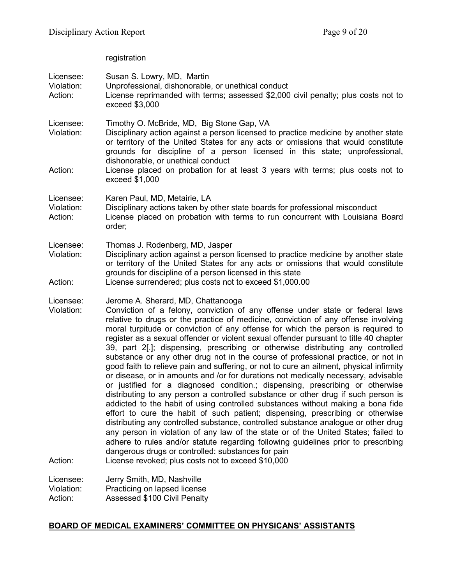registration

| Licensee:<br>Violation:<br>Action: | Susan S. Lowry, MD, Martin<br>Unprofessional, dishonorable, or unethical conduct<br>License reprimanded with terms; assessed \$2,000 civil penalty; plus costs not to<br>exceed \$3,000                                                                                                                                                                                                                                                                                                                                                                                                                                                                                                                                                                                                                                                                                                                                                                                                                                                                                                                                                                                                                                                                                                                                                                                                                                                                                  |
|------------------------------------|--------------------------------------------------------------------------------------------------------------------------------------------------------------------------------------------------------------------------------------------------------------------------------------------------------------------------------------------------------------------------------------------------------------------------------------------------------------------------------------------------------------------------------------------------------------------------------------------------------------------------------------------------------------------------------------------------------------------------------------------------------------------------------------------------------------------------------------------------------------------------------------------------------------------------------------------------------------------------------------------------------------------------------------------------------------------------------------------------------------------------------------------------------------------------------------------------------------------------------------------------------------------------------------------------------------------------------------------------------------------------------------------------------------------------------------------------------------------------|
| Licensee:<br>Violation:            | Timothy O. McBride, MD, Big Stone Gap, VA<br>Disciplinary action against a person licensed to practice medicine by another state<br>or territory of the United States for any acts or omissions that would constitute<br>grounds for discipline of a person licensed in this state; unprofessional,<br>dishonorable, or unethical conduct                                                                                                                                                                                                                                                                                                                                                                                                                                                                                                                                                                                                                                                                                                                                                                                                                                                                                                                                                                                                                                                                                                                                |
| Action:                            | License placed on probation for at least 3 years with terms; plus costs not to<br>exceed \$1,000                                                                                                                                                                                                                                                                                                                                                                                                                                                                                                                                                                                                                                                                                                                                                                                                                                                                                                                                                                                                                                                                                                                                                                                                                                                                                                                                                                         |
| Licensee:<br>Violation:<br>Action: | Karen Paul, MD, Metairie, LA<br>Disciplinary actions taken by other state boards for professional misconduct<br>License placed on probation with terms to run concurrent with Louisiana Board<br>order;                                                                                                                                                                                                                                                                                                                                                                                                                                                                                                                                                                                                                                                                                                                                                                                                                                                                                                                                                                                                                                                                                                                                                                                                                                                                  |
| Licensee:<br>Violation:<br>Action: | Thomas J. Rodenberg, MD, Jasper<br>Disciplinary action against a person licensed to practice medicine by another state<br>or territory of the United States for any acts or omissions that would constitute<br>grounds for discipline of a person licensed in this state<br>License surrendered; plus costs not to exceed \$1,000.00                                                                                                                                                                                                                                                                                                                                                                                                                                                                                                                                                                                                                                                                                                                                                                                                                                                                                                                                                                                                                                                                                                                                     |
| Licensee:<br>Violation:<br>Action: | Jerome A. Sherard, MD, Chattanooga<br>Conviction of a felony, conviction of any offense under state or federal laws<br>relative to drugs or the practice of medicine, conviction of any offense involving<br>moral turpitude or conviction of any offense for which the person is required to<br>register as a sexual offender or violent sexual offender pursuant to title 40 chapter<br>39, part 2[.]; dispensing, prescribing or otherwise distributing any controlled<br>substance or any other drug not in the course of professional practice, or not in<br>good faith to relieve pain and suffering, or not to cure an ailment, physical infirmity<br>or disease, or in amounts and /or for durations not medically necessary, advisable<br>or justified for a diagnosed condition.; dispensing, prescribing or otherwise<br>distributing to any person a controlled substance or other drug if such person is<br>addicted to the habit of using controlled substances without making a bona fide<br>effort to cure the habit of such patient; dispensing, prescribing or otherwise<br>distributing any controlled substance, controlled substance analogue or other drug<br>any person in violation of any law of the state or of the United States; failed to<br>adhere to rules and/or statute regarding following guidelines prior to prescribing<br>dangerous drugs or controlled: substances for pain<br>License revoked; plus costs not to exceed \$10,000 |
| Licensee:<br>Violation:            | Jerry Smith, MD, Nashville<br>Practicing on lapsed license                                                                                                                                                                                                                                                                                                                                                                                                                                                                                                                                                                                                                                                                                                                                                                                                                                                                                                                                                                                                                                                                                                                                                                                                                                                                                                                                                                                                               |

Action: Assessed \$100 Civil Penalty

# **BOARD OF MEDICAL EXAMINERS' COMMITTEE ON PHYSICANS' ASSISTANTS**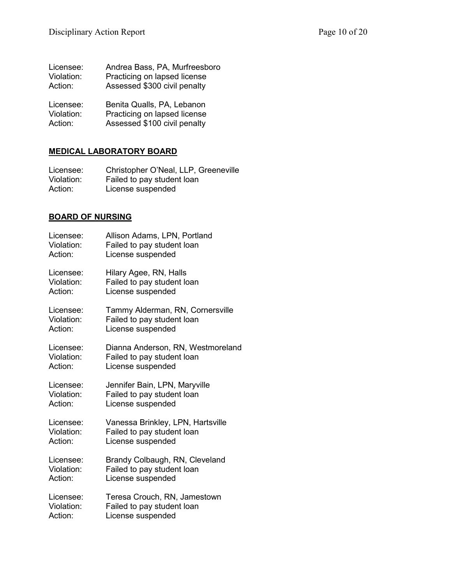| Licensee:  | Andrea Bass, PA, Murfreesboro |
|------------|-------------------------------|
| Violation: | Practicing on lapsed license  |
| Action:    | Assessed \$300 civil penalty  |
| Licensee:  | Benita Qualls, PA, Lebanon    |
| Violation: | Practicing on lapsed license  |
| Action:    | Assessed \$100 civil penalty  |

# **MEDICAL LABORATORY BOARD**

| Licensee:  | Christopher O'Neal, LLP, Greeneville |
|------------|--------------------------------------|
| Violation: | Failed to pay student loan           |
| Action:    | License suspended                    |

# **BOARD OF NURSING**

| Licensee:  | Allison Adams, LPN, Portland      |
|------------|-----------------------------------|
| Violation: | Failed to pay student loan        |
| Action:    | License suspended                 |
| Licensee:  | Hilary Agee, RN, Halls            |
| Violation: | Failed to pay student loan        |
| Action:    | License suspended                 |
| Licensee:  | Tammy Alderman, RN, Cornersville  |
| Violation: | Failed to pay student loan        |
| Action:    | License suspended                 |
| Licensee:  | Dianna Anderson, RN, Westmoreland |
| Violation: | Failed to pay student loan        |
| Action:    | License suspended                 |
| Licensee:  | Jennifer Bain, LPN, Maryville     |
| Violation: | Failed to pay student loan        |
| Action:    | License suspended                 |
| Licensee:  | Vanessa Brinkley, LPN, Hartsville |
| Violation: | Failed to pay student loan        |
| Action:    | License suspended                 |
| Licensee:  | Brandy Colbaugh, RN, Cleveland    |
| Violation: | Failed to pay student loan        |
| Action:    | License suspended                 |
| Licensee:  | Teresa Crouch, RN, Jamestown      |
| Violation: | Failed to pay student loan        |
| Action:    | License suspended                 |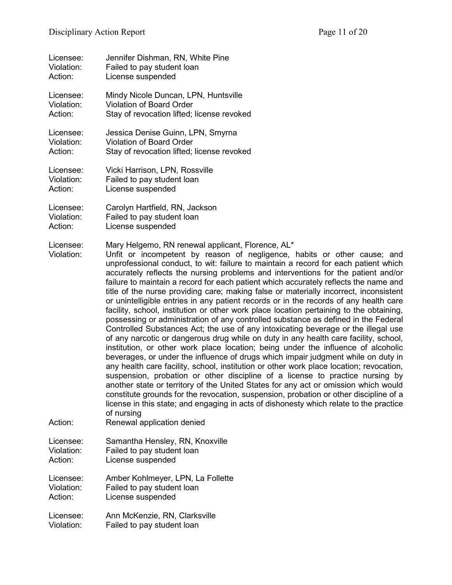| Licensee:                          | Jennifer Dishman, RN, White Pine                                                                                                                                                                                                                                                                                                                                                                                                                                                                                                                                                                                                                                                                                                                                                                                                                                                                                                                                                                                                                                                                                                                                                                                                                                                                                                                                                                                                                                                                                                                                                                                               |
|------------------------------------|--------------------------------------------------------------------------------------------------------------------------------------------------------------------------------------------------------------------------------------------------------------------------------------------------------------------------------------------------------------------------------------------------------------------------------------------------------------------------------------------------------------------------------------------------------------------------------------------------------------------------------------------------------------------------------------------------------------------------------------------------------------------------------------------------------------------------------------------------------------------------------------------------------------------------------------------------------------------------------------------------------------------------------------------------------------------------------------------------------------------------------------------------------------------------------------------------------------------------------------------------------------------------------------------------------------------------------------------------------------------------------------------------------------------------------------------------------------------------------------------------------------------------------------------------------------------------------------------------------------------------------|
| Violation:                         | Failed to pay student loan                                                                                                                                                                                                                                                                                                                                                                                                                                                                                                                                                                                                                                                                                                                                                                                                                                                                                                                                                                                                                                                                                                                                                                                                                                                                                                                                                                                                                                                                                                                                                                                                     |
| Action:                            | License suspended                                                                                                                                                                                                                                                                                                                                                                                                                                                                                                                                                                                                                                                                                                                                                                                                                                                                                                                                                                                                                                                                                                                                                                                                                                                                                                                                                                                                                                                                                                                                                                                                              |
| Licensee:                          | Mindy Nicole Duncan, LPN, Huntsville                                                                                                                                                                                                                                                                                                                                                                                                                                                                                                                                                                                                                                                                                                                                                                                                                                                                                                                                                                                                                                                                                                                                                                                                                                                                                                                                                                                                                                                                                                                                                                                           |
| Violation:                         | <b>Violation of Board Order</b>                                                                                                                                                                                                                                                                                                                                                                                                                                                                                                                                                                                                                                                                                                                                                                                                                                                                                                                                                                                                                                                                                                                                                                                                                                                                                                                                                                                                                                                                                                                                                                                                |
| Action:                            | Stay of revocation lifted; license revoked                                                                                                                                                                                                                                                                                                                                                                                                                                                                                                                                                                                                                                                                                                                                                                                                                                                                                                                                                                                                                                                                                                                                                                                                                                                                                                                                                                                                                                                                                                                                                                                     |
| Licensee:                          | Jessica Denise Guinn, LPN, Smyrna                                                                                                                                                                                                                                                                                                                                                                                                                                                                                                                                                                                                                                                                                                                                                                                                                                                                                                                                                                                                                                                                                                                                                                                                                                                                                                                                                                                                                                                                                                                                                                                              |
| Violation:                         | Violation of Board Order                                                                                                                                                                                                                                                                                                                                                                                                                                                                                                                                                                                                                                                                                                                                                                                                                                                                                                                                                                                                                                                                                                                                                                                                                                                                                                                                                                                                                                                                                                                                                                                                       |
| Action:                            | Stay of revocation lifted; license revoked                                                                                                                                                                                                                                                                                                                                                                                                                                                                                                                                                                                                                                                                                                                                                                                                                                                                                                                                                                                                                                                                                                                                                                                                                                                                                                                                                                                                                                                                                                                                                                                     |
| Licensee:                          | Vicki Harrison, LPN, Rossville                                                                                                                                                                                                                                                                                                                                                                                                                                                                                                                                                                                                                                                                                                                                                                                                                                                                                                                                                                                                                                                                                                                                                                                                                                                                                                                                                                                                                                                                                                                                                                                                 |
| Violation:                         | Failed to pay student loan                                                                                                                                                                                                                                                                                                                                                                                                                                                                                                                                                                                                                                                                                                                                                                                                                                                                                                                                                                                                                                                                                                                                                                                                                                                                                                                                                                                                                                                                                                                                                                                                     |
| Action:                            | License suspended                                                                                                                                                                                                                                                                                                                                                                                                                                                                                                                                                                                                                                                                                                                                                                                                                                                                                                                                                                                                                                                                                                                                                                                                                                                                                                                                                                                                                                                                                                                                                                                                              |
| Licensee:                          | Carolyn Hartfield, RN, Jackson                                                                                                                                                                                                                                                                                                                                                                                                                                                                                                                                                                                                                                                                                                                                                                                                                                                                                                                                                                                                                                                                                                                                                                                                                                                                                                                                                                                                                                                                                                                                                                                                 |
| Violation:                         | Failed to pay student loan                                                                                                                                                                                                                                                                                                                                                                                                                                                                                                                                                                                                                                                                                                                                                                                                                                                                                                                                                                                                                                                                                                                                                                                                                                                                                                                                                                                                                                                                                                                                                                                                     |
| Action:                            | License suspended                                                                                                                                                                                                                                                                                                                                                                                                                                                                                                                                                                                                                                                                                                                                                                                                                                                                                                                                                                                                                                                                                                                                                                                                                                                                                                                                                                                                                                                                                                                                                                                                              |
| Licensee:<br>Violation:<br>Action: | Mary Helgemo, RN renewal applicant, Florence, AL*<br>Unfit or incompetent by reason of negligence, habits or other cause; and<br>unprofessional conduct, to wit: failure to maintain a record for each patient which<br>accurately reflects the nursing problems and interventions for the patient and/or<br>failure to maintain a record for each patient which accurately reflects the name and<br>title of the nurse providing care; making false or materially incorrect, inconsistent<br>or unintelligible entries in any patient records or in the records of any health care<br>facility, school, institution or other work place location pertaining to the obtaining,<br>possessing or administration of any controlled substance as defined in the Federal<br>Controlled Substances Act; the use of any intoxicating beverage or the illegal use<br>of any narcotic or dangerous drug while on duty in any health care facility, school,<br>institution, or other work place location; being under the influence of alcoholic<br>beverages, or under the influence of drugs which impair judgment while on duty in<br>any health care facility, school, institution or other work place location; revocation,<br>suspension, probation or other discipline of a license to practice nursing by<br>another state or territory of the United States for any act or omission which would<br>constitute grounds for the revocation, suspension, probation or other discipline of a<br>license in this state; and engaging in acts of dishonesty which relate to the practice<br>of nursing<br>Renewal application denied |
| Licensee:                          | Samantha Hensley, RN, Knoxville                                                                                                                                                                                                                                                                                                                                                                                                                                                                                                                                                                                                                                                                                                                                                                                                                                                                                                                                                                                                                                                                                                                                                                                                                                                                                                                                                                                                                                                                                                                                                                                                |
| Violation:                         | Failed to pay student loan                                                                                                                                                                                                                                                                                                                                                                                                                                                                                                                                                                                                                                                                                                                                                                                                                                                                                                                                                                                                                                                                                                                                                                                                                                                                                                                                                                                                                                                                                                                                                                                                     |
| Action:                            | License suspended                                                                                                                                                                                                                                                                                                                                                                                                                                                                                                                                                                                                                                                                                                                                                                                                                                                                                                                                                                                                                                                                                                                                                                                                                                                                                                                                                                                                                                                                                                                                                                                                              |
| Licensee:                          | Amber Kohlmeyer, LPN, La Follette                                                                                                                                                                                                                                                                                                                                                                                                                                                                                                                                                                                                                                                                                                                                                                                                                                                                                                                                                                                                                                                                                                                                                                                                                                                                                                                                                                                                                                                                                                                                                                                              |
| Violation:                         | Failed to pay student loan                                                                                                                                                                                                                                                                                                                                                                                                                                                                                                                                                                                                                                                                                                                                                                                                                                                                                                                                                                                                                                                                                                                                                                                                                                                                                                                                                                                                                                                                                                                                                                                                     |
| Action:                            | License suspended                                                                                                                                                                                                                                                                                                                                                                                                                                                                                                                                                                                                                                                                                                                                                                                                                                                                                                                                                                                                                                                                                                                                                                                                                                                                                                                                                                                                                                                                                                                                                                                                              |
| Licensee:                          | Ann McKenzie, RN, Clarksville                                                                                                                                                                                                                                                                                                                                                                                                                                                                                                                                                                                                                                                                                                                                                                                                                                                                                                                                                                                                                                                                                                                                                                                                                                                                                                                                                                                                                                                                                                                                                                                                  |
| Violation:                         | Failed to pay student loan                                                                                                                                                                                                                                                                                                                                                                                                                                                                                                                                                                                                                                                                                                                                                                                                                                                                                                                                                                                                                                                                                                                                                                                                                                                                                                                                                                                                                                                                                                                                                                                                     |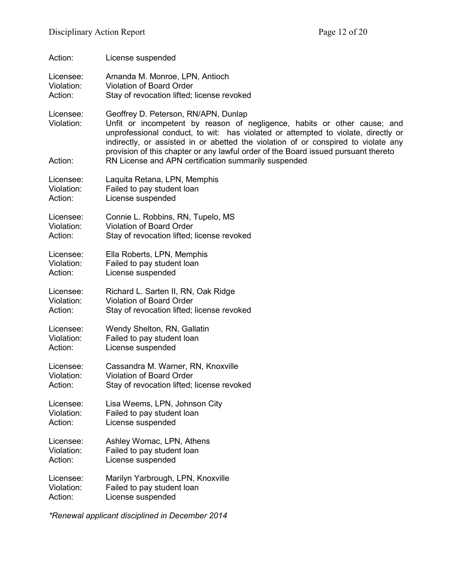| Action:                 | License suspended                                                                                                                                                                                                                                                                           |
|-------------------------|---------------------------------------------------------------------------------------------------------------------------------------------------------------------------------------------------------------------------------------------------------------------------------------------|
| Licensee:               | Amanda M. Monroe, LPN, Antioch                                                                                                                                                                                                                                                              |
| Violation:              | <b>Violation of Board Order</b>                                                                                                                                                                                                                                                             |
| Action:                 | Stay of revocation lifted; license revoked                                                                                                                                                                                                                                                  |
| Licensee:<br>Violation: | Geoffrey D. Peterson, RN/APN, Dunlap<br>Unfit or incompetent by reason of negligence, habits or other cause; and<br>unprofessional conduct, to wit: has violated or attempted to violate, directly or<br>indirectly, or assisted in or abetted the violation of or conspired to violate any |
| Action:                 | provision of this chapter or any lawful order of the Board issued pursuant thereto<br>RN License and APN certification summarily suspended                                                                                                                                                  |
| Licensee:               | Laquita Retana, LPN, Memphis                                                                                                                                                                                                                                                                |
| Violation:              | Failed to pay student loan                                                                                                                                                                                                                                                                  |
| Action:                 | License suspended                                                                                                                                                                                                                                                                           |
| Licensee:               | Connie L. Robbins, RN, Tupelo, MS                                                                                                                                                                                                                                                           |
| Violation:              | <b>Violation of Board Order</b>                                                                                                                                                                                                                                                             |
| Action:                 | Stay of revocation lifted; license revoked                                                                                                                                                                                                                                                  |
| Licensee:               | Ella Roberts, LPN, Memphis                                                                                                                                                                                                                                                                  |
| Violation:              | Failed to pay student loan                                                                                                                                                                                                                                                                  |
| Action:                 | License suspended                                                                                                                                                                                                                                                                           |
| Licensee:               | Richard L. Sarten II, RN, Oak Ridge                                                                                                                                                                                                                                                         |
| Violation:              | <b>Violation of Board Order</b>                                                                                                                                                                                                                                                             |
| Action:                 | Stay of revocation lifted; license revoked                                                                                                                                                                                                                                                  |
| Licensee:               | Wendy Shelton, RN, Gallatin                                                                                                                                                                                                                                                                 |
| Violation:              | Failed to pay student loan                                                                                                                                                                                                                                                                  |
| Action:                 | License suspended                                                                                                                                                                                                                                                                           |
| Licensee:               | Cassandra M. Warner, RN, Knoxville                                                                                                                                                                                                                                                          |
| Violation:              | <b>Violation of Board Order</b>                                                                                                                                                                                                                                                             |
| Action:                 | Stay of revocation lifted; license revoked                                                                                                                                                                                                                                                  |
| Licensee:               | Lisa Weems, LPN, Johnson City                                                                                                                                                                                                                                                               |
| Violation:              | Failed to pay student loan                                                                                                                                                                                                                                                                  |
| Action:                 | License suspended                                                                                                                                                                                                                                                                           |
| Licensee:               | Ashley Womac, LPN, Athens                                                                                                                                                                                                                                                                   |
| Violation:              | Failed to pay student loan                                                                                                                                                                                                                                                                  |
| Action:                 | License suspended                                                                                                                                                                                                                                                                           |
| Licensee:               | Marilyn Yarbrough, LPN, Knoxville                                                                                                                                                                                                                                                           |
| Violation:              | Failed to pay student loan                                                                                                                                                                                                                                                                  |
| Action:                 | License suspended                                                                                                                                                                                                                                                                           |

*\*Renewal applicant disciplined in December 2014*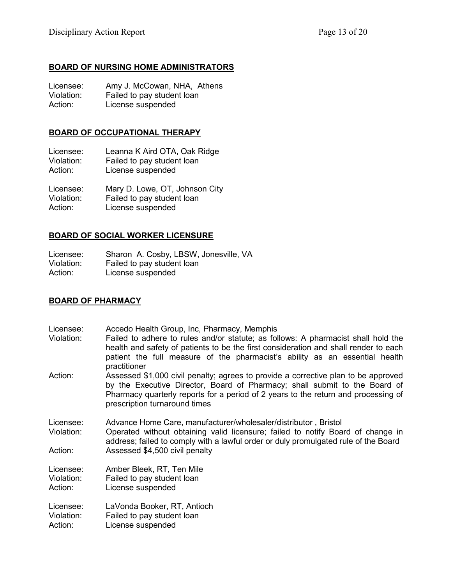## **BOARD OF NURSING HOME ADMINISTRATORS**

| Licensee:  | Amy J. McCowan, NHA, Athens |
|------------|-----------------------------|
| Violation: | Failed to pay student loan  |
| Action:    | License suspended           |

## **BOARD OF OCCUPATIONAL THERAPY**

Licensee: Leanna K Aird OTA, Oak Ridge Violation: Failed to pay student loan Action: License suspended

Licensee: Mary D. Lowe, OT, Johnson City Violation: Failed to pay student loan<br>Action: License suspended License suspended

## **BOARD OF SOCIAL WORKER LICENSURE**

Licensee: Sharon A. Cosby, LBSW, Jonesville, VA Violation: Failed to pay student loan Action: License suspended

## **BOARD OF PHARMACY**

| Licensee:             | Accedo Health Group, Inc, Pharmacy, Memphis                                                                                                                                                                                                                                             |
|-----------------------|-----------------------------------------------------------------------------------------------------------------------------------------------------------------------------------------------------------------------------------------------------------------------------------------|
| Violation:            | Failed to adhere to rules and/or statute; as follows: A pharmacist shall hold the<br>health and safety of patients to be the first consideration and shall render to each<br>patient the full measure of the pharmacist's ability as an essential health<br>practitioner                |
| Action:               | Assessed \$1,000 civil penalty; agrees to provide a corrective plan to be approved<br>by the Executive Director, Board of Pharmacy; shall submit to the Board of<br>Pharmacy quarterly reports for a period of 2 years to the return and processing of<br>prescription turnaround times |
| Licensee:             | Advance Home Care, manufacturer/wholesaler/distributor, Bristol                                                                                                                                                                                                                         |
| Violation:            | Operated without obtaining valid licensure; failed to notify Board of change in<br>address; failed to comply with a lawful order or duly promulgated rule of the Board                                                                                                                  |
| Action:               | Assessed \$4,500 civil penalty                                                                                                                                                                                                                                                          |
| Licensee:             | Amber Bleek, RT, Ten Mile                                                                                                                                                                                                                                                               |
| Violation:<br>Action: | Failed to pay student loan<br>License suspended                                                                                                                                                                                                                                         |
| Licensee:             | LaVonda Booker, RT, Antioch                                                                                                                                                                                                                                                             |
| Violation:            | Failed to pay student loan                                                                                                                                                                                                                                                              |
| Action:               | License suspended                                                                                                                                                                                                                                                                       |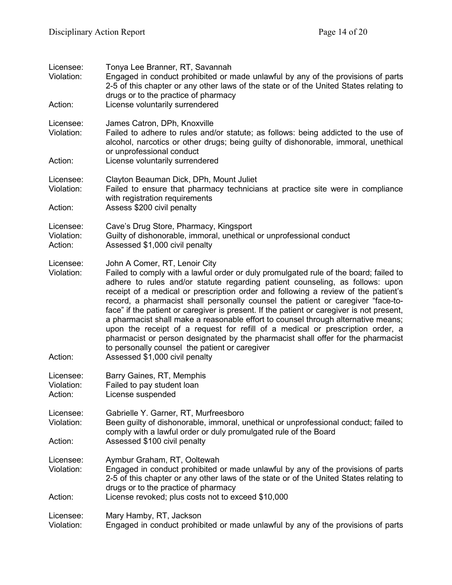| Licensee:<br>Violation:<br>Action: | Tonya Lee Branner, RT, Savannah<br>Engaged in conduct prohibited or made unlawful by any of the provisions of parts<br>2-5 of this chapter or any other laws of the state or of the United States relating to<br>drugs or to the practice of pharmacy<br>License voluntarily surrendered                                                                                                                                                                                                                                                                                                                                                                                                                                                                                                                                      |
|------------------------------------|-------------------------------------------------------------------------------------------------------------------------------------------------------------------------------------------------------------------------------------------------------------------------------------------------------------------------------------------------------------------------------------------------------------------------------------------------------------------------------------------------------------------------------------------------------------------------------------------------------------------------------------------------------------------------------------------------------------------------------------------------------------------------------------------------------------------------------|
|                                    |                                                                                                                                                                                                                                                                                                                                                                                                                                                                                                                                                                                                                                                                                                                                                                                                                               |
| Licensee:<br>Violation:            | James Catron, DPh, Knoxville<br>Failed to adhere to rules and/or statute; as follows: being addicted to the use of<br>alcohol, narcotics or other drugs; being guilty of dishonorable, immoral, unethical<br>or unprofessional conduct                                                                                                                                                                                                                                                                                                                                                                                                                                                                                                                                                                                        |
| Action:                            | License voluntarily surrendered                                                                                                                                                                                                                                                                                                                                                                                                                                                                                                                                                                                                                                                                                                                                                                                               |
| Licensee:<br>Violation:            | Clayton Beauman Dick, DPh, Mount Juliet<br>Failed to ensure that pharmacy technicians at practice site were in compliance<br>with registration requirements                                                                                                                                                                                                                                                                                                                                                                                                                                                                                                                                                                                                                                                                   |
| Action:                            | Assess \$200 civil penalty                                                                                                                                                                                                                                                                                                                                                                                                                                                                                                                                                                                                                                                                                                                                                                                                    |
| Licensee:<br>Violation:<br>Action: | Cave's Drug Store, Pharmacy, Kingsport<br>Guilty of dishonorable, immoral, unethical or unprofessional conduct<br>Assessed \$1,000 civil penalty                                                                                                                                                                                                                                                                                                                                                                                                                                                                                                                                                                                                                                                                              |
| Licensee:<br>Violation:<br>Action: | John A Comer, RT, Lenoir City<br>Failed to comply with a lawful order or duly promulgated rule of the board; failed to<br>adhere to rules and/or statute regarding patient counseling, as follows: upon<br>receipt of a medical or prescription order and following a review of the patient's<br>record, a pharmacist shall personally counsel the patient or caregiver "face-to-<br>face" if the patient or caregiver is present. If the patient or caregiver is not present,<br>a pharmacist shall make a reasonable effort to counsel through alternative means;<br>upon the receipt of a request for refill of a medical or prescription order, a<br>pharmacist or person designated by the pharmacist shall offer for the pharmacist<br>to personally counsel the patient or caregiver<br>Assessed \$1,000 civil penalty |
| Licensee:<br>Violation:<br>Action: | Barry Gaines, RT, Memphis<br>Failed to pay student loan<br>License suspended                                                                                                                                                                                                                                                                                                                                                                                                                                                                                                                                                                                                                                                                                                                                                  |
| Licensee:<br>Violation:            | Gabrielle Y. Garner, RT, Murfreesboro<br>Been guilty of dishonorable, immoral, unethical or unprofessional conduct; failed to<br>comply with a lawful order or duly promulgated rule of the Board                                                                                                                                                                                                                                                                                                                                                                                                                                                                                                                                                                                                                             |
| Action:                            | Assessed \$100 civil penalty                                                                                                                                                                                                                                                                                                                                                                                                                                                                                                                                                                                                                                                                                                                                                                                                  |
| Licensee:<br>Violation:            | Aymbur Graham, RT, Ooltewah<br>Engaged in conduct prohibited or made unlawful by any of the provisions of parts<br>2-5 of this chapter or any other laws of the state or of the United States relating to<br>drugs or to the practice of pharmacy                                                                                                                                                                                                                                                                                                                                                                                                                                                                                                                                                                             |
| Action:                            | License revoked; plus costs not to exceed \$10,000                                                                                                                                                                                                                                                                                                                                                                                                                                                                                                                                                                                                                                                                                                                                                                            |
| Licensee:<br>Violation:            | Mary Hamby, RT, Jackson<br>Engaged in conduct prohibited or made unlawful by any of the provisions of parts                                                                                                                                                                                                                                                                                                                                                                                                                                                                                                                                                                                                                                                                                                                   |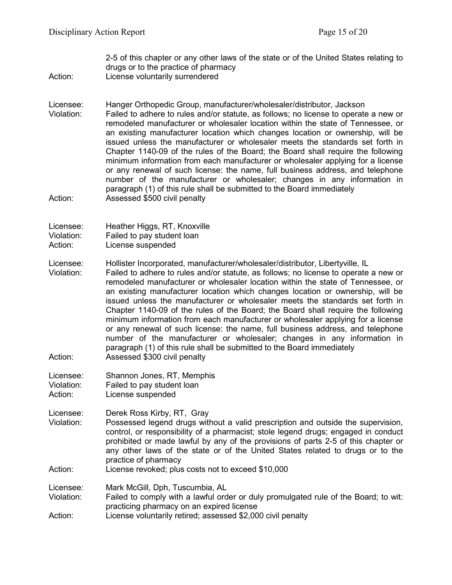2-5 of this chapter or any other laws of the state or of the United States relating to drugs or to the practice of pharmacy

Action: License voluntarily surrendered

Licensee: Hanger Orthopedic Group, manufacturer/wholesaler/distributor, Jackson Violation: Failed to adhere to rules and/or statute, as follows; no license to operate a new or remodeled manufacturer or wholesaler location within the state of Tennessee, or an existing manufacturer location which changes location or ownership, will be issued unless the manufacturer or wholesaler meets the standards set forth in Chapter 1140-09 of the rules of the Board; the Board shall require the following minimum information from each manufacturer or wholesaler applying for a license or any renewal of such license: the name, full business address, and telephone number of the manufacturer or wholesaler; changes in any information in paragraph (1) of this rule shall be submitted to the Board immediately Action: Assessed \$500 civil penalty

Licensee: Heather Higgs, RT, Knoxville Violation: Failed to pay student loan Action: License suspended

Licensee: Hollister Incorporated, manufacturer/wholesaler/distributor, Libertyville, IL

Violation: Failed to adhere to rules and/or statute, as follows; no license to operate a new or remodeled manufacturer or wholesaler location within the state of Tennessee, or an existing manufacturer location which changes location or ownership, will be issued unless the manufacturer or wholesaler meets the standards set forth in Chapter 1140-09 of the rules of the Board; the Board shall require the following minimum information from each manufacturer or wholesaler applying for a license or any renewal of such license: the name, full business address, and telephone number of the manufacturer or wholesaler; changes in any information in paragraph (1) of this rule shall be submitted to the Board immediately Action: Assessed \$300 civil penalty

- Licensee: Shannon Jones, RT, Memphis Violation: Failed to pay student loan Action: License suspended
- Licensee: Derek Ross Kirby, RT, Gray
- Violation: Possessed legend drugs without a valid prescription and outside the supervision, control, or responsibility of a pharmacist; stole legend drugs; engaged in conduct prohibited or made lawful by any of the provisions of parts 2-5 of this chapter or any other laws of the state or of the United States related to drugs or to the practice of pharmacy
- Action: License revoked; plus costs not to exceed \$10,000

Licensee: Mark McGill, Dph, Tuscumbia, AL<br>Violation: Failed to comply with a lawful ord

Failed to comply with a lawful order or duly promulgated rule of the Board; to wit: practicing pharmacy on an expired license

Action: License voluntarily retired; assessed \$2,000 civil penalty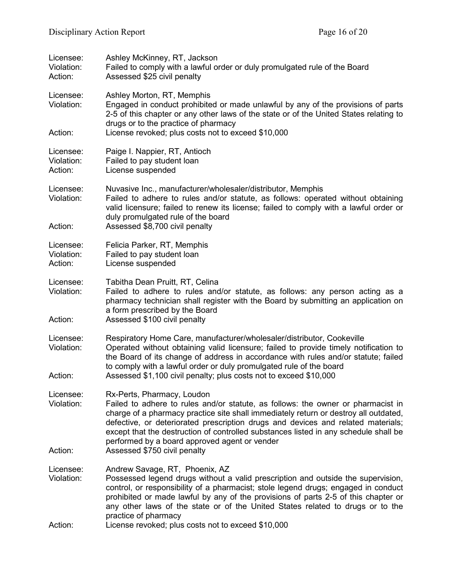| Licensee:<br>Violation:<br>Action: | Ashley McKinney, RT, Jackson<br>Failed to comply with a lawful order or duly promulgated rule of the Board<br>Assessed \$25 civil penalty                                                                                                                                                                                                                                                                                                                           |
|------------------------------------|---------------------------------------------------------------------------------------------------------------------------------------------------------------------------------------------------------------------------------------------------------------------------------------------------------------------------------------------------------------------------------------------------------------------------------------------------------------------|
| Licensee:<br>Violation:            | Ashley Morton, RT, Memphis<br>Engaged in conduct prohibited or made unlawful by any of the provisions of parts<br>2-5 of this chapter or any other laws of the state or of the United States relating to<br>drugs or to the practice of pharmacy                                                                                                                                                                                                                    |
| Action:                            | License revoked; plus costs not to exceed \$10,000                                                                                                                                                                                                                                                                                                                                                                                                                  |
| Licensee:<br>Violation:<br>Action: | Paige I. Nappier, RT, Antioch<br>Failed to pay student loan<br>License suspended                                                                                                                                                                                                                                                                                                                                                                                    |
| Licensee:<br>Violation:<br>Action: | Nuvasive Inc., manufacturer/wholesaler/distributor, Memphis<br>Failed to adhere to rules and/or statute, as follows: operated without obtaining<br>valid licensure; failed to renew its license; failed to comply with a lawful order or<br>duly promulgated rule of the board<br>Assessed \$8,700 civil penalty                                                                                                                                                    |
| Licensee:<br>Violation:<br>Action: | Felicia Parker, RT, Memphis<br>Failed to pay student loan<br>License suspended                                                                                                                                                                                                                                                                                                                                                                                      |
| Licensee:<br>Violation:            | Tabitha Dean Pruitt, RT, Celina<br>Failed to adhere to rules and/or statute, as follows: any person acting as a<br>pharmacy technician shall register with the Board by submitting an application on<br>a form prescribed by the Board                                                                                                                                                                                                                              |
| Action:                            | Assessed \$100 civil penalty                                                                                                                                                                                                                                                                                                                                                                                                                                        |
| Licensee:<br>Violation:<br>Action: | Respiratory Home Care, manufacturer/wholesaler/distributor, Cookeville<br>Operated without obtaining valid licensure; failed to provide timely notification to<br>the Board of its change of address in accordance with rules and/or statute; failed<br>to comply with a lawful order or duly promulgated rule of the board<br>Assessed \$1,100 civil penalty; plus costs not to exceed \$10,000                                                                    |
| Licensee:<br>Violation:<br>Action: | Rx-Perts, Pharmacy, Loudon<br>Failed to adhere to rules and/or statute, as follows: the owner or pharmacist in<br>charge of a pharmacy practice site shall immediately return or destroy all outdated,<br>defective, or deteriorated prescription drugs and devices and related materials;<br>except that the destruction of controlled substances listed in any schedule shall be<br>performed by a board approved agent or vender<br>Assessed \$750 civil penalty |
| Licensee:<br>Violation:<br>Action: | Andrew Savage, RT, Phoenix, AZ<br>Possessed legend drugs without a valid prescription and outside the supervision,<br>control, or responsibility of a pharmacist; stole legend drugs; engaged in conduct<br>prohibited or made lawful by any of the provisions of parts 2-5 of this chapter or<br>any other laws of the state or of the United States related to drugs or to the<br>practice of pharmacy<br>License revoked; plus costs not to exceed \$10,000      |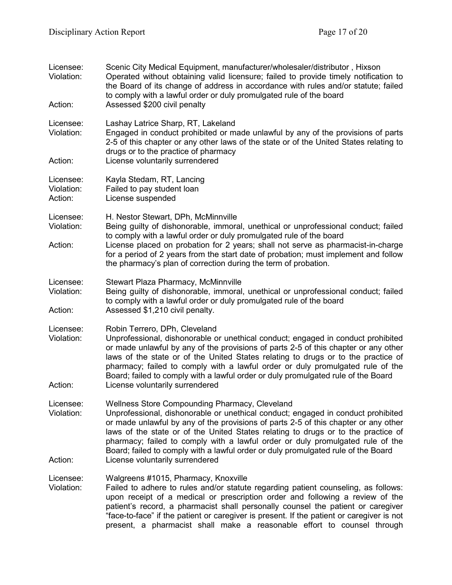| Licensee:<br>Violation:<br>Action: | Scenic City Medical Equipment, manufacturer/wholesaler/distributor, Hixson<br>Operated without obtaining valid licensure; failed to provide timely notification to<br>the Board of its change of address in accordance with rules and/or statute; failed<br>to comply with a lawful order or duly promulgated rule of the board<br>Assessed \$200 civil penalty                                                                                                                                         |
|------------------------------------|---------------------------------------------------------------------------------------------------------------------------------------------------------------------------------------------------------------------------------------------------------------------------------------------------------------------------------------------------------------------------------------------------------------------------------------------------------------------------------------------------------|
| Licensee:<br>Violation:<br>Action: | Lashay Latrice Sharp, RT, Lakeland<br>Engaged in conduct prohibited or made unlawful by any of the provisions of parts<br>2-5 of this chapter or any other laws of the state or of the United States relating to<br>drugs or to the practice of pharmacy<br>License voluntarily surrendered                                                                                                                                                                                                             |
| Licensee:<br>Violation:<br>Action: | Kayla Stedam, RT, Lancing<br>Failed to pay student loan<br>License suspended                                                                                                                                                                                                                                                                                                                                                                                                                            |
| Licensee:<br>Violation:<br>Action: | H. Nestor Stewart, DPh, McMinnville<br>Being guilty of dishonorable, immoral, unethical or unprofessional conduct; failed<br>to comply with a lawful order or duly promulgated rule of the board<br>License placed on probation for 2 years; shall not serve as pharmacist-in-charge<br>for a period of 2 years from the start date of probation; must implement and follow<br>the pharmacy's plan of correction during the term of probation.                                                          |
| Licensee:<br>Violation:<br>Action: | Stewart Plaza Pharmacy, McMinnville<br>Being guilty of dishonorable, immoral, unethical or unprofessional conduct; failed<br>to comply with a lawful order or duly promulgated rule of the board<br>Assessed \$1,210 civil penalty.                                                                                                                                                                                                                                                                     |
| Licensee:<br>Violation:<br>Action: | Robin Terrero, DPh, Cleveland<br>Unprofessional, dishonorable or unethical conduct; engaged in conduct prohibited<br>or made unlawful by any of the provisions of parts 2-5 of this chapter or any other<br>laws of the state or of the United States relating to drugs or to the practice of<br>pharmacy; failed to comply with a lawful order or duly promulgated rule of the<br>Board; failed to comply with a lawful order or duly promulgated rule of the Board<br>License voluntarily surrendered |
| Licensee:<br>Violation:            | Wellness Store Compounding Pharmacy, Cleveland<br>Unprofessional, dishonorable or unethical conduct; engaged in conduct prohibited<br>or made unlawful by any of the provisions of parts 2-5 of this chapter or any other<br>laws of the state or of the United States relating to drugs or to the practice of<br>pharmacy; failed to comply with a lawful order or duly promulgated rule of the<br>Board; failed to comply with a lawful order or duly promulgated rule of the Board                   |
| Action:                            | License voluntarily surrendered                                                                                                                                                                                                                                                                                                                                                                                                                                                                         |
| Licensee:<br>Violation:            | Walgreens #1015, Pharmacy, Knoxville<br>Failed to adhere to rules and/or statute regarding patient counseling, as follows:<br>upon receipt of a medical or prescription order and following a review of the<br>patient's record, a pharmacist shall personally counsel the patient or caregiver<br>"face-to-face" if the patient or caregiver is present. If the patient or caregiver is not<br>present, a pharmacist shall make a reasonable effort to counsel through                                 |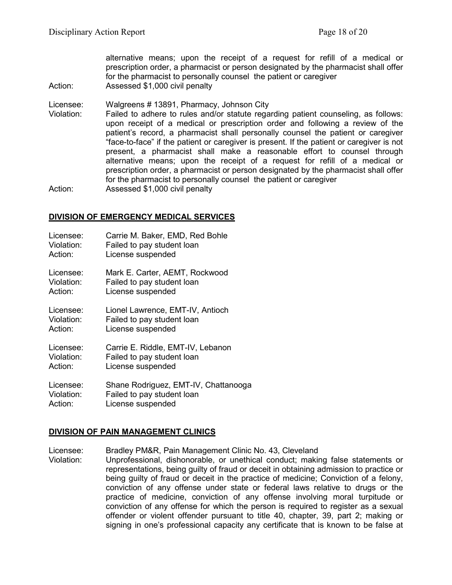alternative means; upon the receipt of a request for refill of a medical or prescription order, a pharmacist or person designated by the pharmacist shall offer for the pharmacist to personally counsel the patient or caregiver Action: Assessed \$1,000 civil penalty

Licensee: Walgreens # 13891, Pharmacy, Johnson City

Violation: Failed to adhere to rules and/or statute regarding patient counseling, as follows: upon receipt of a medical or prescription order and following a review of the patient's record, a pharmacist shall personally counsel the patient or caregiver "face-to-face" if the patient or caregiver is present. If the patient or caregiver is not present, a pharmacist shall make a reasonable effort to counsel through alternative means; upon the receipt of a request for refill of a medical or prescription order, a pharmacist or person designated by the pharmacist shall offer for the pharmacist to personally counsel the patient or caregiver Action: Assessed \$1,000 civil penalty

#### **DIVISION OF EMERGENCY MEDICAL SERVICES**

| Licensee:  | Carrie M. Baker, EMD, Red Bohle      |
|------------|--------------------------------------|
| Violation: | Failed to pay student loan           |
| Action:    | License suspended                    |
| Licensee:  | Mark E. Carter, AEMT, Rockwood       |
| Violation: | Failed to pay student loan           |
| Action:    | License suspended                    |
| Licensee:  | Lionel Lawrence, EMT-IV, Antioch     |
| Violation: | Failed to pay student loan           |
| Action:    | License suspended                    |
| Licensee:  | Carrie E. Riddle, EMT-IV, Lebanon    |
| Violation: | Failed to pay student loan           |
| Action:    | License suspended                    |
| Licensee:  | Shane Rodriguez, EMT-IV, Chattanooga |
| Violation: | Failed to pay student loan           |
| Action:    | License suspended                    |

#### **DIVISION OF PAIN MANAGEMENT CLINICS**

Licensee: Bradley PM&R, Pain Management Clinic No. 43, Cleveland

Violation: Unprofessional, dishonorable, or unethical conduct; making false statements or representations, being guilty of fraud or deceit in obtaining admission to practice or being guilty of fraud or deceit in the practice of medicine; Conviction of a felony, conviction of any offense under state or federal laws relative to drugs or the practice of medicine, conviction of any offense involving moral turpitude or conviction of any offense for which the person is required to register as a sexual offender or violent offender pursuant to title 40, chapter, 39, part 2; making or signing in one's professional capacity any certificate that is known to be false at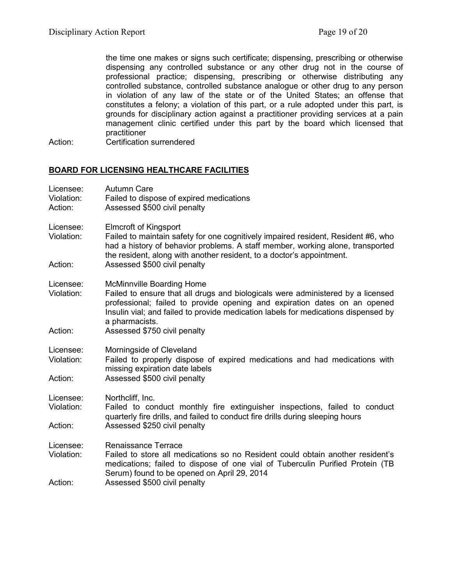the time one makes or signs such certificate; dispensing, prescribing or otherwise dispensing any controlled substance or any other drug not in the course of professional practice; dispensing, prescribing or otherwise distributing any controlled substance, controlled substance analogue or other drug to any person in violation of any law of the state or of the United States; an offense that constitutes a felony; a violation of this part, or a rule adopted under this part, is grounds for disciplinary action against a practitioner providing services at a pain management clinic certified under this part by the board which licensed that practitioner

Action: Certification surrendered

#### **BOARD FOR LICENSING HEALTHCARE FACILITIES**

| Licensee:<br>Violation:<br>Action: | <b>Autumn Care</b><br>Failed to dispose of expired medications<br>Assessed \$500 civil penalty                                                                                                                                                                                                           |
|------------------------------------|----------------------------------------------------------------------------------------------------------------------------------------------------------------------------------------------------------------------------------------------------------------------------------------------------------|
| Licensee:<br>Violation:            | <b>Elmcroft of Kingsport</b><br>Failed to maintain safety for one cognitively impaired resident, Resident #6, who<br>had a history of behavior problems. A staff member, working alone, transported<br>the resident, along with another resident, to a doctor's appointment.                             |
| Action:                            | Assessed \$500 civil penalty                                                                                                                                                                                                                                                                             |
| Licensee:<br>Violation:            | <b>McMinnville Boarding Home</b><br>Failed to ensure that all drugs and biologicals were administered by a licensed<br>professional; failed to provide opening and expiration dates on an opened<br>Insulin vial; and failed to provide medication labels for medications dispensed by<br>a pharmacists. |
| Action:                            | Assessed \$750 civil penalty                                                                                                                                                                                                                                                                             |
| Licensee:<br>Violation:            | Morningside of Cleveland<br>Failed to properly dispose of expired medications and had medications with<br>missing expiration date labels                                                                                                                                                                 |
| Action:                            | Assessed \$500 civil penalty                                                                                                                                                                                                                                                                             |
| Licensee:<br>Violation:            | Northcliff, Inc.<br>Failed to conduct monthly fire extinguisher inspections, failed to conduct<br>quarterly fire drills, and failed to conduct fire drills during sleeping hours                                                                                                                         |
| Action:                            | Assessed \$250 civil penalty                                                                                                                                                                                                                                                                             |
| Licensee:<br>Violation:            | Renaissance Terrace<br>Failed to store all medications so no Resident could obtain another resident's<br>medications; failed to dispose of one vial of Tuberculin Purified Protein (TB<br>Serum) found to be opened on April 29, 2014                                                                    |
| Action:                            | Assessed \$500 civil penalty                                                                                                                                                                                                                                                                             |